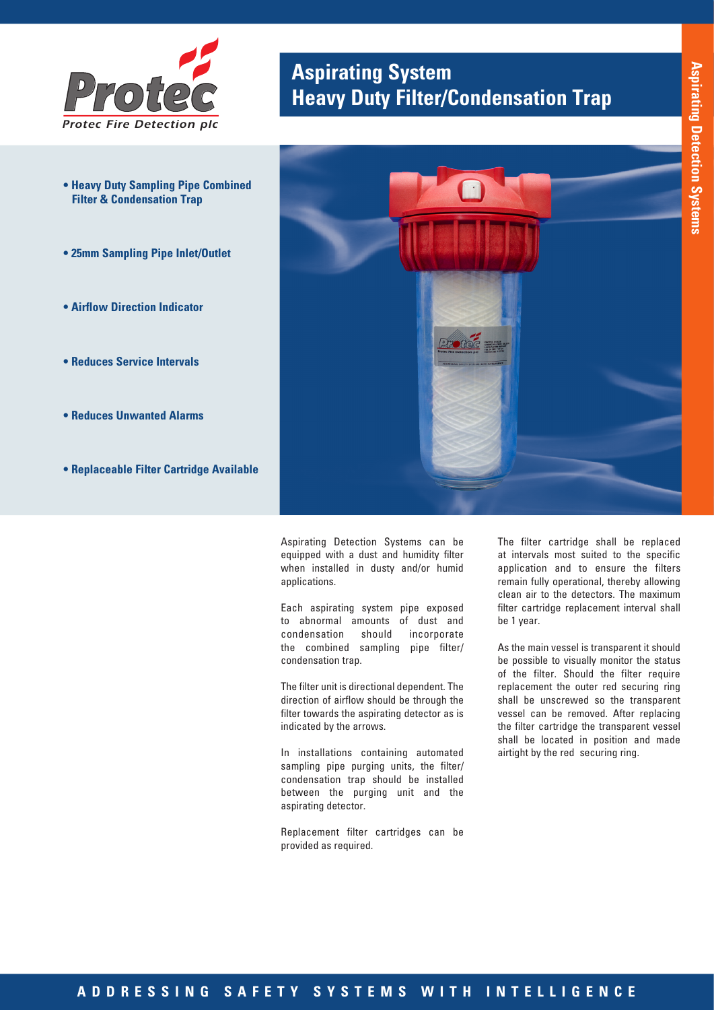

- **Heavy Duty Sampling Pipe Combined Filter & Condensation Trap**
- **25mm Sampling Pipe Inlet/Outlet**
- **Airflow Direction Indicator**
- **Reduces Service Intervals**
- **Reduces Unwanted Alarms**
- **Replaceable Filter Cartridge Available**

# **Aspirating System<br>
<b>Protecally Filter/Condensation Trap**



Aspirating Detection Systems can be equipped with a dust and humidity filter when installed in dusty and/or humid applications.

Each aspirating system pipe exposed to abnormal amounts of dust and condensation should incorporate the combined sampling pipe filter/ condensation trap.

The filter unit is directional dependent. The direction of airflow should be through the filter towards the aspirating detector as is indicated by the arrows.

In installations containing automated sampling pipe purging units, the filter/ condensation trap should be installed between the purging unit and the aspirating detector.

Replacement filter cartridges can be provided as required.

The filter cartridge shall be replaced at intervals most suited to the specific application and to ensure the filters remain fully operational, thereby allowing clean air to the detectors. The maximum filter cartridge replacement interval shall be 1 year.

As the main vessel is transparent it should be possible to visually monitor the status of the filter. Should the filter require replacement the outer red securing ring shall be unscrewed so the transparent vessel can be removed. After replacing the filter cartridge the transparent vessel shall be located in position and made airtight by the red securing ring.